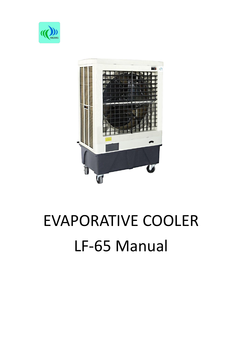



# EVAPORATIVE COOLER LF-65 Manual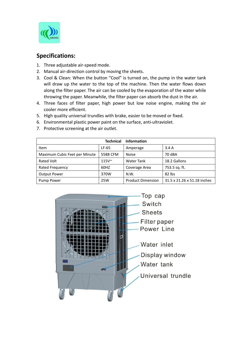

# **Specifications:**

- 1. Three adjustable air-speed mode.
- 2. Manual air-direction control by moving the sheets.
- 3. Cool & Clean: When the button "Cool" is turned on, the pump in the water tank will draw up the water to the top of the machine. Then the water flows down along the filter paper. The air can be cooled by the evaporation of the water while throwing the paper. Meanwhile, the filter paper can absorb the dust in the air.
- 4. Three faces of filter paper, high power but low noise engine, making the air cooler more efficient.
- 5. High quality universal trundles with brake, easier to be moved or fixed.
- 6. Environmental plastic power paint on the surface, anti-ultraviolet.
- 7. Protective screening at the air outlet.

|                               | <b>Technical</b> | <b>Information</b>       |                             |
|-------------------------------|------------------|--------------------------|-----------------------------|
| Item                          | LF-65            | Amperage                 | 3.4A                        |
| Maximum Cubic Feet per Minute | 5588 CFM         | <b>Noise</b>             | 70 dBA                      |
| Rated Volt                    | $115V^{\sim}$    | Water Tank               | 18.2 Gallons                |
| Rated Frequency               | 60HZ             | Coverage Area            | 753.5 sq. ft.               |
| <b>Output Power</b>           | 370W             | N.W.                     | $82$ lbs                    |
| Pump Power                    | 25W              | <b>Product Dimension</b> | 31.5 x 21.26 x 51.18 inches |

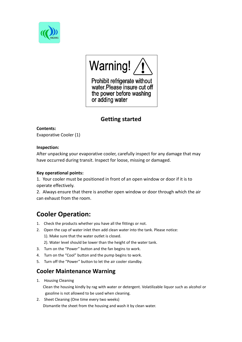



Prohibit refrigerate without water. Please insure cut off the power before washing or adding water

# **Getting started**

**Contents:** Evaporative Cooler (1)

#### **Inspection:**

After unpacking your evaporative cooler, carefully inspect for any damage that may have occurred during transit. Inspect for loose, missing or damaged.

#### **Key operational points:**

1. Your cooler must be positioned in front of an open window or door ifit is to operate effectively.

2. Always ensure that there is another open window or door through which the air can exhaust from the room.

# **Cooler Operation:**

- 
- 1. Check the products whether you have all the fittings or not.<br>2. Open the cap of water inlet then add clean water into the tank. Please notice:
	- 1). Make sure that the water outlet is closed.

2). Water level should be lower than the height of the water tank.

- 3. Turn on the "Power" button and the fan begins to work.
- 4. Turn on the "Cool" button and the pump begins to work.
- 5. Turn off the "Power" button to let the air cooler standby.

# **Cooler Maintenance Warning**

1. Housing Cleaning

Clean the housing kindly by rag with water or detergent. Volatilizable liquor such as alcohol or gasoline is not allowed to be used when cleaning.

2. Sheet Cleaning (One time every two weeks) Dismantle the sheet from the housing and wash it by clean water.